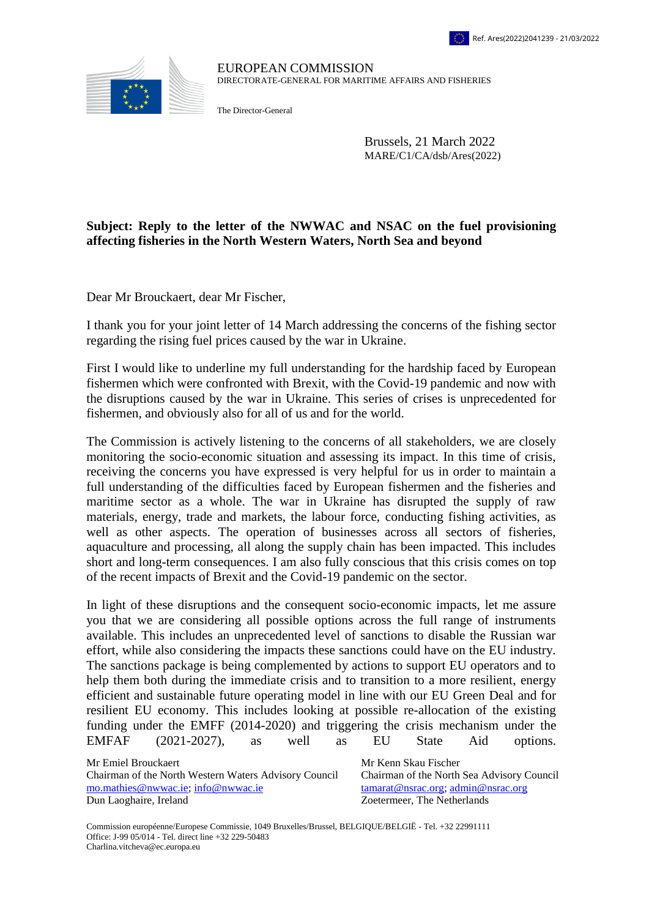

EUROPEAN COMMISSION DIRECTORATE-GENERAL FOR MARITIME AFFAIRS AND FISHERIES

The Director-General

Brussels, 21 March 2022 MARE/C1/CA/dsb/Ares(2022)

## **Subject: Reply to the letter of the NWWAC and NSAC on the fuel provisioning affecting fisheries in the North Western Waters, North Sea and beyond**

Dear Mr Brouckaert, dear Mr Fischer,

I thank you for your joint letter of 14 March addressing the concerns of the fishing sector regarding the rising fuel prices caused by the war in Ukraine.

First I would like to underline my full understanding for the hardship faced by European fishermen which were confronted with Brexit, with the Covid-19 pandemic and now with the disruptions caused by the war in Ukraine. This series of crises is unprecedented for fishermen, and obviously also for all of us and for the world.

The Commission is actively listening to the concerns of all stakeholders, we are closely monitoring the socio-economic situation and assessing its impact. In this time of crisis, receiving the concerns you have expressed is very helpful for us in order to maintain a full understanding of the difficulties faced by European fishermen and the fisheries and maritime sector as a whole. The war in Ukraine has disrupted the supply of raw materials, energy, trade and markets, the labour force, conducting fishing activities, as well as other aspects. The operation of businesses across all sectors of fisheries, aquaculture and processing, all along the supply chain has been impacted. This includes short and long-term consequences. I am also fully conscious that this crisis comes on top of the recent impacts of Brexit and the Covid-19 pandemic on the sector.

In light of these disruptions and the consequent socio-economic impacts, let me assure you that we are considering all possible options across the full range of instruments available. This includes an unprecedented level of sanctions to disable the Russian war effort, while also considering the impacts these sanctions could have on the EU industry. The sanctions package is being complemented by actions to support EU operators and to help them both during the immediate crisis and to transition to a more resilient, energy efficient and sustainable future operating model in line with our EU Green Deal and for resilient EU economy. This includes looking at possible re-allocation of the existing funding under the EMFF (2014-2020) and triggering the crisis mechanism under the EMFAF (2021-2027), as well as EU State Aid options.

Mr Emiel Brouckaert Mr Kenn Skau Fischer Chairman of the North Western Waters Advisory Council Chairman of the North Sea Advisory Council [mo.mathies@nwwac.ie;](mailto:mo.mathies@nwwac.ie) [info@nwwac.ie](mailto:info@nwwac.ie) [tamarat@nsrac.org;](mailto:tamarat@nsrac.org) [admin@nsrac.org](mailto:admin@nsrac.org) Dun Laoghaire, Ireland Zoetermeer, The Netherlands

Commission européenne/Europese Commissie, 1049 Bruxelles/Brussel, BELGIQUE/BELGIË - Tel. +32 22991111 Office: J-99 05/014 - Tel. direct line +32 229-50483 Charlina.vitcheva@ec.europa.eu